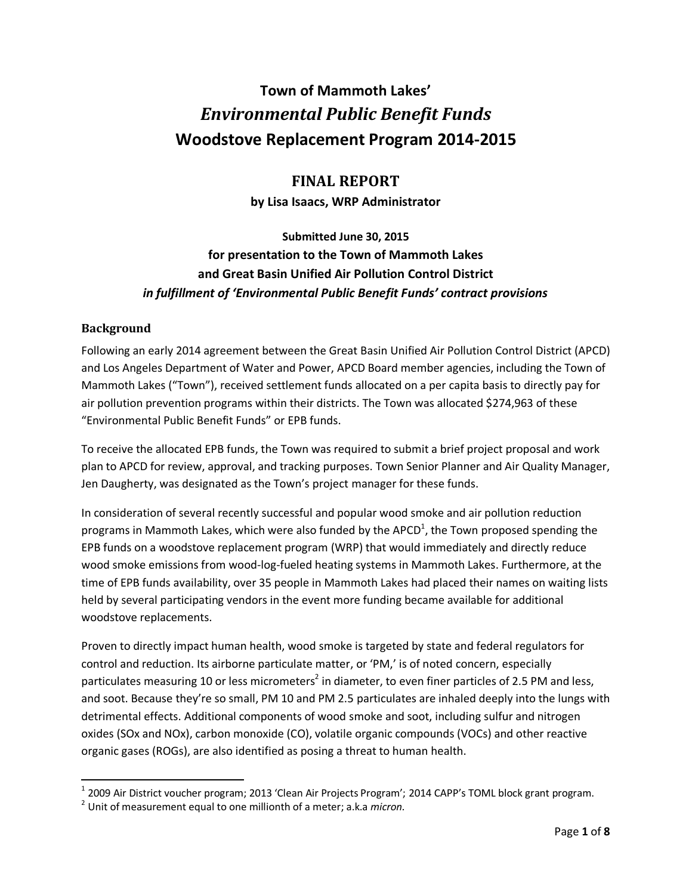# **Town of Mammoth Lakes'** *Environmental Public Benefit Funds* **Woodstove Replacement Program 2014-2015**

# **FINAL REPORT**

**by Lisa Isaacs, WRP Administrator**

# **Submitted June 30, 2015 for presentation to the Town of Mammoth Lakes and Great Basin Unified Air Pollution Control District** *in fulfillment of 'Environmental Public Benefit Funds' contract provisions*

#### **Background**

 $\overline{a}$ 

Following an early 2014 agreement between the Great Basin Unified Air Pollution Control District (APCD) and Los Angeles Department of Water and Power, APCD Board member agencies, including the Town of Mammoth Lakes ("Town"), received settlement funds allocated on a per capita basis to directly pay for air pollution prevention programs within their districts. The Town was allocated \$274,963 of these "Environmental Public Benefit Funds" or EPB funds.

To receive the allocated EPB funds, the Town was required to submit a brief project proposal and work plan to APCD for review, approval, and tracking purposes. Town Senior Planner and Air Quality Manager, Jen Daugherty, was designated as the Town's project manager for these funds.

In consideration of several recently successful and popular wood smoke and air pollution reduction programs in Mammoth Lakes, which were also funded by the APCD<sup>1</sup>, the Town proposed spending the EPB funds on a woodstove replacement program (WRP) that would immediately and directly reduce wood smoke emissions from wood-log-fueled heating systems in Mammoth Lakes. Furthermore, at the time of EPB funds availability, over 35 people in Mammoth Lakes had placed their names on waiting lists held by several participating vendors in the event more funding became available for additional woodstove replacements.

Proven to directly impact human health, wood smoke is targeted by state and federal regulators for control and reduction. Its airborne particulate matter, or 'PM,' is of noted concern, especially particulates measuring 10 or less micrometers<sup>2</sup> in diameter, to even finer particles of 2.5 PM and less, and soot. Because they're so small, PM 10 and PM 2.5 particulates are inhaled deeply into the lungs with detrimental effects. Additional components of wood smoke and soot, including sulfur and nitrogen oxides (SOx and NOx), carbon monoxide (CO), volatile organic compounds (VOCs) and other reactive organic gases (ROGs), are also identified as posing a threat to human health.

<sup>&</sup>lt;sup>1</sup> 2009 Air District voucher program; 2013 'Clean Air Projects Program'; 2014 CAPP's TOML block grant program.

<sup>2</sup> Unit of measurement equal to one millionth of a meter; a.k.a *micron.*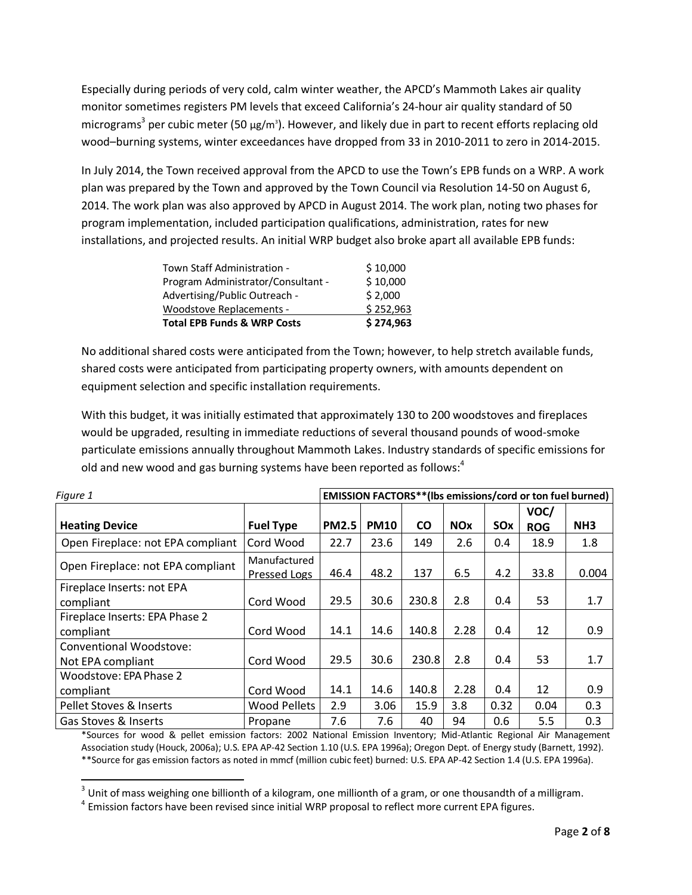Especially during periods of very cold, calm winter weather, the APCD's Mammoth Lakes air quality monitor sometimes registers PM levels that exceed California's 24-hour air quality standard of 50 micrograms<sup>3</sup> per cubic meter (50  $\mu$ g/m<sup>3</sup>). However, and likely due in part to recent efforts replacing old wood–burning systems, winter exceedances have dropped from 33 in 2010-2011 to zero in 2014-2015.

In July 2014, the Town received approval from the APCD to use the Town's EPB funds on a WRP. A work plan was prepared by the Town and approved by the Town Council via Resolution 14-50 on August 6, 2014. The work plan was also approved by APCD in August 2014. The work plan, noting two phases for program implementation, included participation qualifications, administration, rates for new installations, and projected results. An initial WRP budget also broke apart all available EPB funds:

| Town Staff Administration -            | \$10,000  |
|----------------------------------------|-----------|
| Program Administrator/Consultant -     | \$10,000  |
| Advertising/Public Outreach -          | \$2,000   |
| Woodstove Replacements -               | \$252,963 |
| <b>Total EPB Funds &amp; WRP Costs</b> | \$274,963 |

No additional shared costs were anticipated from the Town; however, to help stretch available funds, shared costs were anticipated from participating property owners, with amounts dependent on equipment selection and specific installation requirements.

With this budget, it was initially estimated that approximately 130 to 200 woodstoves and fireplaces would be upgraded, resulting in immediate reductions of several thousand pounds of wood-smoke particulate emissions annually throughout Mammoth Lakes. Industry standards of specific emissions for old and new wood and gas burning systems have been reported as follows:<sup>4</sup>

| Figure 1                          | <b>EMISSION FACTORS**(Ibs emissions/cord or ton fuel burned)</b> |              |             |           |            |      |            |                 |
|-----------------------------------|------------------------------------------------------------------|--------------|-------------|-----------|------------|------|------------|-----------------|
|                                   |                                                                  |              |             |           |            |      | VOC/       |                 |
| <b>Heating Device</b>             | <b>Fuel Type</b>                                                 | <b>PM2.5</b> | <b>PM10</b> | <b>CO</b> | <b>NOx</b> | SOx  | <b>ROG</b> | NH <sub>3</sub> |
| Open Fireplace: not EPA compliant | Cord Wood                                                        | 22.7         | 23.6        | 149       | 2.6        | 0.4  | 18.9       | 1.8             |
| Open Fireplace: not EPA compliant | Manufactured<br>Pressed Logs                                     | 46.4         | 48.2        | 137       | 6.5        | 4.2  | 33.8       | 0.004           |
| Fireplace Inserts: not EPA        |                                                                  |              |             |           |            |      |            |                 |
| compliant                         | Cord Wood                                                        | 29.5         | 30.6        | 230.8     | 2.8        | 0.4  | 53         | 1.7             |
| Fireplace Inserts: EPA Phase 2    |                                                                  |              |             |           |            |      |            |                 |
| compliant                         | Cord Wood                                                        | 14.1         | 14.6        | 140.8     | 2.28       | 0.4  | 12         | 0.9             |
| Conventional Woodstove:           |                                                                  |              |             |           |            |      |            |                 |
| Not EPA compliant                 | Cord Wood                                                        | 29.5         | 30.6        | 230.8     | 2.8        | 0.4  | 53         | 1.7             |
| Woodstove: EPA Phase 2            |                                                                  |              |             |           |            |      |            |                 |
| compliant                         | Cord Wood                                                        | 14.1         | 14.6        | 140.8     | 2.28       | 0.4  | 12         | 0.9             |
| Pellet Stoves & Inserts           | <b>Wood Pellets</b>                                              | 2.9          | 3.06        | 15.9      | 3.8        | 0.32 | 0.04       | 0.3             |
| Gas Stoves & Inserts              | Propane                                                          | 7.6          | 7.6         | 40        | 94         | 0.6  | 5.5        | 0.3             |

\*Sources for wood & pellet emission factors: 2002 National Emission Inventory; Mid-Atlantic Regional Air Management Association study (Houck, 2006a); U.S. EPA AP-42 Section 1.10 (U.S. EPA 1996a); Oregon Dept. of Energy study (Barnett, 1992). \*\*Source for gas emission factors as noted in mmcf (million cubic feet) burned: U.S. EPA AP-42 Section 1.4 (U.S. EPA 1996a).

3 Unit of mass weighing one billionth of a kilogram, one millionth of a gram, or one thousandth of a milligram.

 $^4$  Emission factors have been revised since initial WRP proposal to reflect more current EPA figures.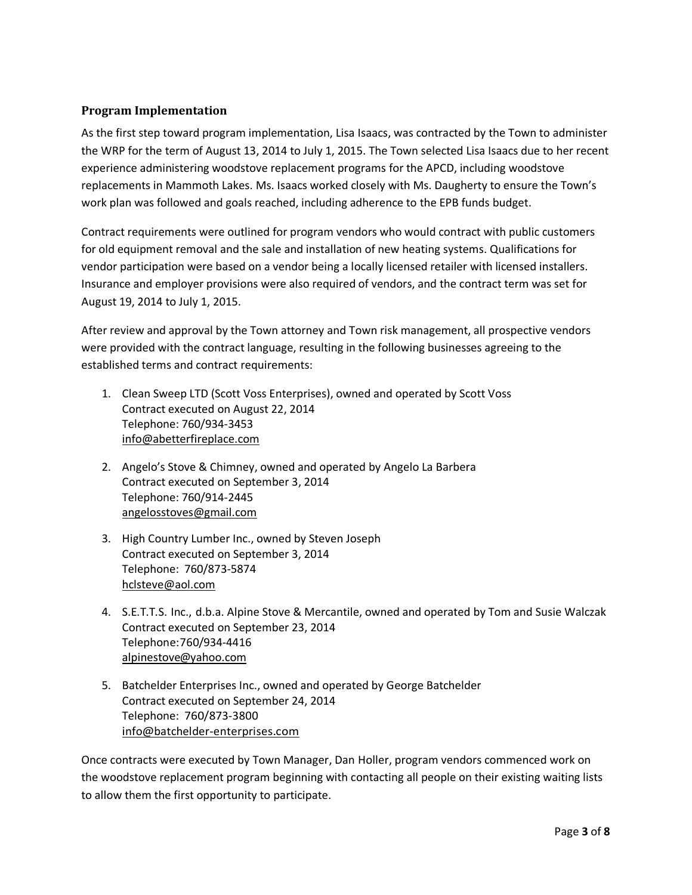#### **Program Implementation**

As the first step toward program implementation, Lisa Isaacs, was contracted by the Town to administer the WRP for the term of August 13, 2014 to July 1, 2015. The Town selected Lisa Isaacs due to her recent experience administering woodstove replacement programs for the APCD, including woodstove replacements in Mammoth Lakes. Ms. Isaacs worked closely with Ms. Daugherty to ensure the Town's work plan was followed and goals reached, including adherence to the EPB funds budget.

Contract requirements were outlined for program vendors who would contract with public customers for old equipment removal and the sale and installation of new heating systems. Qualifications for vendor participation were based on a vendor being a locally licensed retailer with licensed installers. Insurance and employer provisions were also required of vendors, and the contract term was set for August 19, 2014 to July 1, 2015.

After review and approval by the Town attorney and Town risk management, all prospective vendors were provided with the contract language, resulting in the following businesses agreeing to the established terms and contract requirements:

- 1. Clean Sweep LTD (Scott Voss Enterprises), owned and operated by Scott Voss Contract executed on August 22, 2014 Telephone: 760/934-3453 [info@abetterfireplace.com](mailto:info@abetterfireplace.com)
- 2. Angelo's Stove & Chimney, owned and operated by Angelo La Barbera Contract executed on September 3, 2014 Telephone: 760/914-2445 [angelosstoves@gmail.com](mailto:angelosstoves@gmail.com)
- 3. High Country Lumber Inc., owned by Steven Joseph Contract executed on September 3, 2014 Telephone: 760/873-5874 [hclsteve@aol.com](mailto:hclsteve@aol.com)
- 4. S.E.T.T.S. Inc., d.b.a. Alpine Stove & Mercantile, owned and operated by Tom and Susie Walczak Contract executed on September 23, 2014 Telephone:760/934-4416 [alpinestove@yahoo.com](mailto:alpinestove@yahoo.com)
- 5. Batchelder Enterprises Inc., owned and operated by George Batchelder Contract executed on September 24, 2014 Telephone: 760/873-3800 [info@batchelder-enterprises.com](mailto:info@batchelder-enterprises.com)

Once contracts were executed by Town Manager, Dan Holler, program vendors commenced work on the woodstove replacement program beginning with contacting all people on their existing waiting lists to allow them the first opportunity to participate.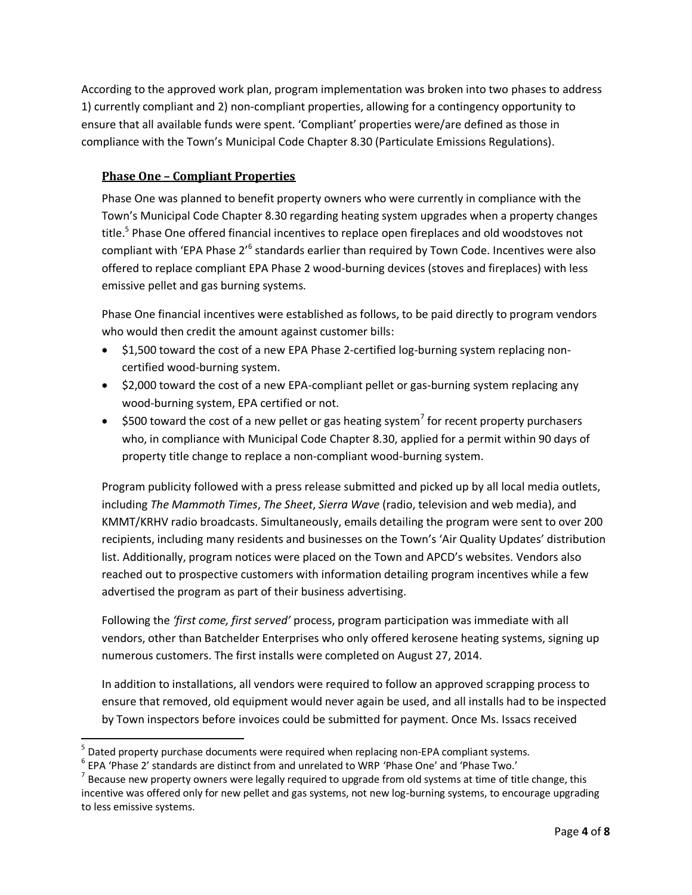According to the approved work plan, program implementation was broken into two phases to address 1) currently compliant and 2) non-compliant properties, allowing for a contingency opportunity to ensure that all available funds were spent. 'Compliant' properties were/are defined as those in compliance with the Town's Municipal Code Chapter 8.30 (Particulate Emissions Regulations).

## **Phase One – Compliant Properties**

Phase One was planned to benefit property owners who were currently in compliance with the Town's Municipal Code Chapter 8.30 regarding heating system upgrades when a property changes title.<sup>5</sup> Phase One offered financial incentives to replace open fireplaces and old woodstoves not compliant with 'EPA Phase 2'<sup>6</sup> standards earlier than required by Town Code. Incentives were also offered to replace compliant EPA Phase 2 wood-burning devices (stoves and fireplaces) with less emissive pellet and gas burning systems.

Phase One financial incentives were established as follows, to be paid directly to program vendors who would then credit the amount against customer bills:

- \$1,500 toward the cost of a new EPA Phase 2-certified log-burning system replacing noncertified wood-burning system.
- \$2,000 toward the cost of a new EPA-compliant pellet or gas-burning system replacing any wood-burning system, EPA certified or not.
- $\bullet$  \$500 toward the cost of a new pellet or gas heating system<sup>7</sup> for recent property purchasers who, in compliance with Municipal Code Chapter 8.30, applied for a permit within 90 days of property title change to replace a non-compliant wood-burning system.

Program publicity followed with a press release submitted and picked up by all local media outlets, including *The Mammoth Times*, *The Sheet*, *Sierra Wave* (radio, television and web media), and KMMT/KRHV radio broadcasts. Simultaneously, emails detailing the program were sent to over 200 recipients, including many residents and businesses on the Town's 'Air Quality Updates' distribution list. Additionally, program notices were placed on the Town and APCD's websites. Vendors also reached out to prospective customers with information detailing program incentives while a few advertised the program as part of their business advertising.

Following the *'first come, first served'* process, program participation was immediate with all vendors, other than Batchelder Enterprises who only offered kerosene heating systems, signing up numerous customers. The first installs were completed on August 27, 2014.

In addition to installations, all vendors were required to follow an approved scrapping process to ensure that removed, old equipment would never again be used, and all installs had to be inspected by Town inspectors before invoices could be submitted for payment. Once Ms. Issacs received

 $\overline{a}$ <sup>5</sup> Dated property purchase documents were required when replacing non-EPA compliant systems.

 $^6$  EPA 'Phase 2' standards are distinct from and unrelated to WRP 'Phase One' and 'Phase Two.'

 $^7$  Because new property owners were legally required to upgrade from old systems at time of title change, this incentive was offered only for new pellet and gas systems, not new log-burning systems, to encourage upgrading to less emissive systems.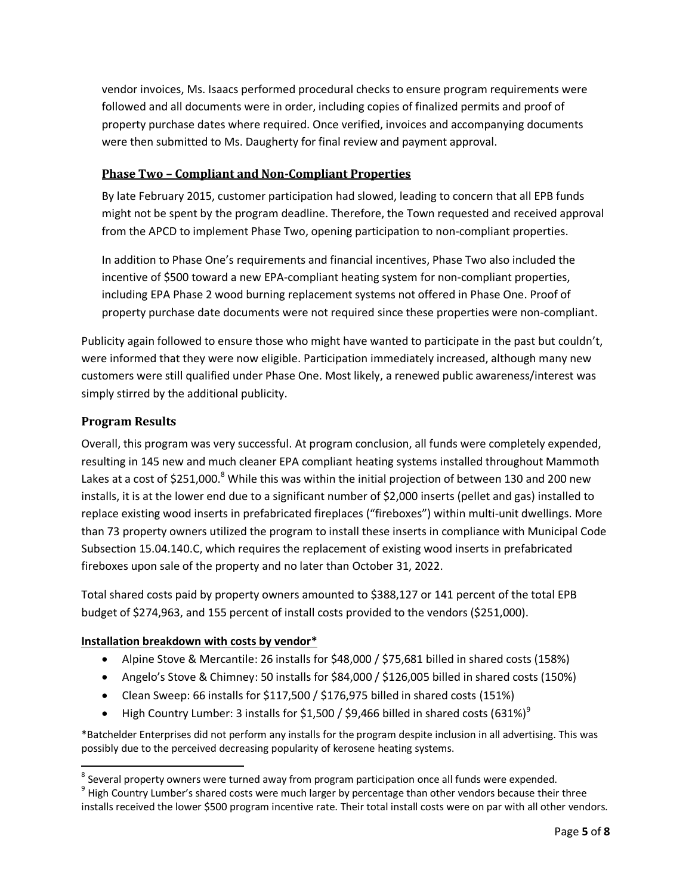vendor invoices, Ms. Isaacs performed procedural checks to ensure program requirements were followed and all documents were in order, including copies of finalized permits and proof of property purchase dates where required. Once verified, invoices and accompanying documents were then submitted to Ms. Daugherty for final review and payment approval.

### **Phase Two – Compliant and Non-Compliant Properties**

By late February 2015, customer participation had slowed, leading to concern that all EPB funds might not be spent by the program deadline. Therefore, the Town requested and received approval from the APCD to implement Phase Two, opening participation to non-compliant properties.

In addition to Phase One's requirements and financial incentives, Phase Two also included the incentive of \$500 toward a new EPA-compliant heating system for non-compliant properties, including EPA Phase 2 wood burning replacement systems not offered in Phase One. Proof of property purchase date documents were not required since these properties were non-compliant.

Publicity again followed to ensure those who might have wanted to participate in the past but couldn't, were informed that they were now eligible. Participation immediately increased, although many new customers were still qualified under Phase One. Most likely, a renewed public awareness/interest was simply stirred by the additional publicity.

## **Program Results**

 $\overline{\phantom{a}}$ 

Overall, this program was very successful. At program conclusion, all funds were completely expended, resulting in 145 new and much cleaner EPA compliant heating systems installed throughout Mammoth Lakes at a cost of \$251,000.<sup>8</sup> While this was within the initial projection of between 130 and 200 new installs, it is at the lower end due to a significant number of \$2,000 inserts (pellet and gas) installed to replace existing wood inserts in prefabricated fireplaces ("fireboxes") within multi-unit dwellings. More than 73 property owners utilized the program to install these inserts in compliance with Municipal Code Subsection 15.04.140.C, which requires the replacement of existing wood inserts in prefabricated fireboxes upon sale of the property and no later than October 31, 2022.

Total shared costs paid by property owners amounted to \$388,127 or 141 percent of the total EPB budget of \$274,963, and 155 percent of install costs provided to the vendors (\$251,000).

#### **Installation breakdown with costs by vendor\***

- Alpine Stove & Mercantile: 26 installs for \$48,000 / \$75,681 billed in shared costs (158%)
- Angelo's Stove & Chimney: 50 installs for \$84,000 / \$126,005 billed in shared costs (150%)
- Clean Sweep: 66 installs for \$117,500 / \$176,975 billed in shared costs (151%)
- High Country Lumber: 3 installs for \$1,500 / \$9,466 billed in shared costs (631%)<sup>9</sup>

\*Batchelder Enterprises did not perform any installs for the program despite inclusion in all advertising. This was possibly due to the perceived decreasing popularity of kerosene heating systems.

 $^8$  Several property owners were turned away from program participation once all funds were expended.

 $^9$  High Country Lumber's shared costs were much larger by percentage than other vendors because their three installs received the lower \$500 program incentive rate. Their total install costs were on par with all other vendors.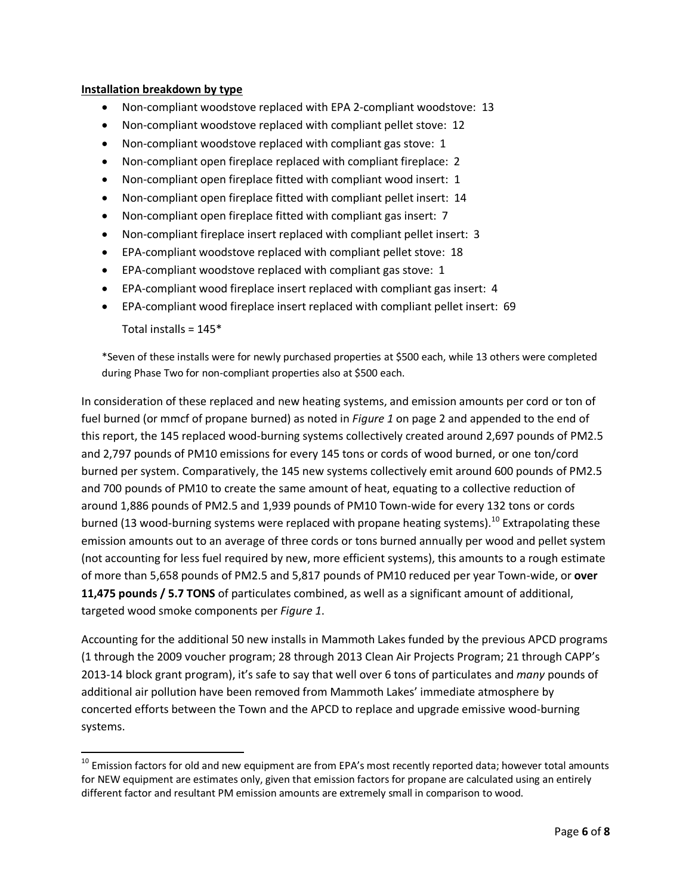#### **Installation breakdown by type**

- Non-compliant woodstove replaced with EPA 2-compliant woodstove: 13
- Non-compliant woodstove replaced with compliant pellet stove: 12
- Non-compliant woodstove replaced with compliant gas stove: 1
- Non-compliant open fireplace replaced with compliant fireplace: 2
- Non-compliant open fireplace fitted with compliant wood insert: 1
- Non-compliant open fireplace fitted with compliant pellet insert: 14
- Non-compliant open fireplace fitted with compliant gas insert: 7
- Non-compliant fireplace insert replaced with compliant pellet insert: 3
- EPA-compliant woodstove replaced with compliant pellet stove: 18
- EPA-compliant woodstove replaced with compliant gas stove: 1
- EPA-compliant wood fireplace insert replaced with compliant gas insert: 4
- EPA-compliant wood fireplace insert replaced with compliant pellet insert: 69

Total installs =  $145*$ 

 $\overline{\phantom{a}}$ 

\*Seven of these installs were for newly purchased properties at \$500 each, while 13 others were completed during Phase Two for non-compliant properties also at \$500 each.

In consideration of these replaced and new heating systems, and emission amounts per cord or ton of fuel burned (or mmcf of propane burned) as noted in *Figure 1* on page 2 and appended to the end of this report, the 145 replaced wood-burning systems collectively created around 2,697 pounds of PM2.5 and 2,797 pounds of PM10 emissions for every 145 tons or cords of wood burned, or one ton/cord burned per system. Comparatively, the 145 new systems collectively emit around 600 pounds of PM2.5 and 700 pounds of PM10 to create the same amount of heat, equating to a collective reduction of around 1,886 pounds of PM2.5 and 1,939 pounds of PM10 Town-wide for every 132 tons or cords burned (13 wood-burning systems were replaced with propane heating systems).<sup>10</sup> Extrapolating these emission amounts out to an average of three cords or tons burned annually per wood and pellet system (not accounting for less fuel required by new, more efficient systems), this amounts to a rough estimate of more than 5,658 pounds of PM2.5 and 5,817 pounds of PM10 reduced per year Town-wide, or **over 11,475 pounds / 5.7 TONS** of particulates combined, as well as a significant amount of additional, targeted wood smoke components per *Figure 1*.

Accounting for the additional 50 new installs in Mammoth Lakes funded by the previous APCD programs (1 through the 2009 voucher program; 28 through 2013 Clean Air Projects Program; 21 through CAPP's 2013-14 block grant program), it's safe to say that well over 6 tons of particulates and *many* pounds of additional air pollution have been removed from Mammoth Lakes' immediate atmosphere by concerted efforts between the Town and the APCD to replace and upgrade emissive wood-burning systems.

 $^{10}$  Emission factors for old and new equipment are from EPA's most recently reported data; however total amounts for NEW equipment are estimates only, given that emission factors for propane are calculated using an entirely different factor and resultant PM emission amounts are extremely small in comparison to wood.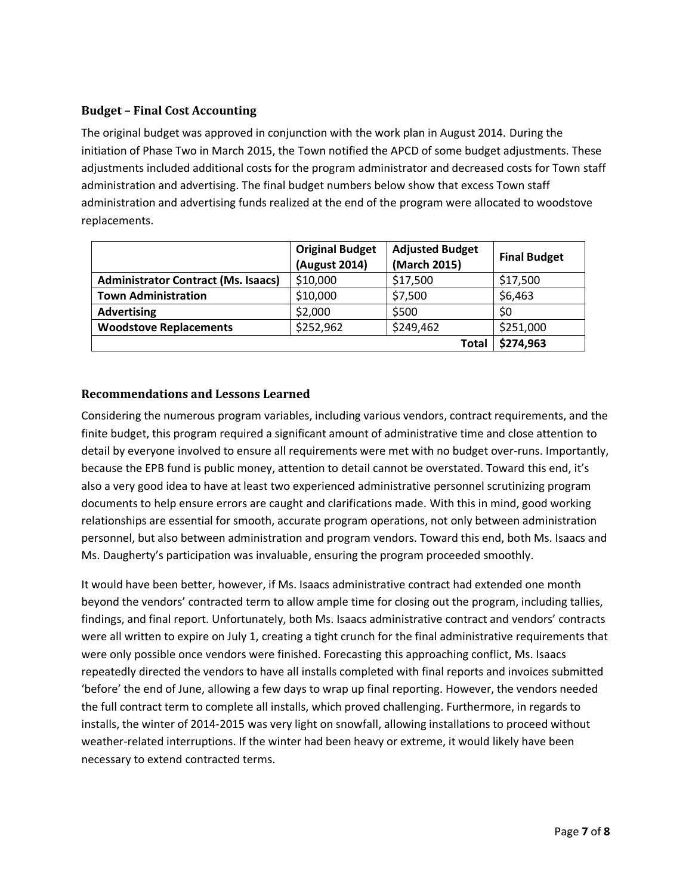### **Budget – Final Cost Accounting**

The original budget was approved in conjunction with the work plan in August 2014. During the initiation of Phase Two in March 2015, the Town notified the APCD of some budget adjustments. These adjustments included additional costs for the program administrator and decreased costs for Town staff administration and advertising. The final budget numbers below show that excess Town staff administration and advertising funds realized at the end of the program were allocated to woodstove replacements.

|                                            | <b>Original Budget</b><br>(August 2014) | <b>Adjusted Budget</b><br>(March 2015) | <b>Final Budget</b> |
|--------------------------------------------|-----------------------------------------|----------------------------------------|---------------------|
| <b>Administrator Contract (Ms. Isaacs)</b> | \$10,000                                | \$17,500                               | \$17,500            |
| <b>Town Administration</b>                 | \$10,000                                | \$7,500                                | \$6,463             |
| <b>Advertising</b>                         | \$2,000                                 | \$500                                  | S0                  |
| <b>Woodstove Replacements</b>              | \$252,962                               | \$249,462                              | \$251,000           |
|                                            |                                         | Total                                  | \$274,963           |

#### **Recommendations and Lessons Learned**

Considering the numerous program variables, including various vendors, contract requirements, and the finite budget, this program required a significant amount of administrative time and close attention to detail by everyone involved to ensure all requirements were met with no budget over-runs. Importantly, because the EPB fund is public money, attention to detail cannot be overstated. Toward this end, it's also a very good idea to have at least two experienced administrative personnel scrutinizing program documents to help ensure errors are caught and clarifications made. With this in mind, good working relationships are essential for smooth, accurate program operations, not only between administration personnel, but also between administration and program vendors. Toward this end, both Ms. Isaacs and Ms. Daugherty's participation was invaluable, ensuring the program proceeded smoothly.

It would have been better, however, if Ms. Isaacs administrative contract had extended one month beyond the vendors' contracted term to allow ample time for closing out the program, including tallies, findings, and final report. Unfortunately, both Ms. Isaacs administrative contract and vendors' contracts were all written to expire on July 1, creating a tight crunch for the final administrative requirements that were only possible once vendors were finished. Forecasting this approaching conflict, Ms. Isaacs repeatedly directed the vendors to have all installs completed with final reports and invoices submitted 'before' the end of June, allowing a few days to wrap up final reporting. However, the vendors needed the full contract term to complete all installs, which proved challenging. Furthermore, in regards to installs, the winter of 2014-2015 was very light on snowfall, allowing installations to proceed without weather-related interruptions. If the winter had been heavy or extreme, it would likely have been necessary to extend contracted terms.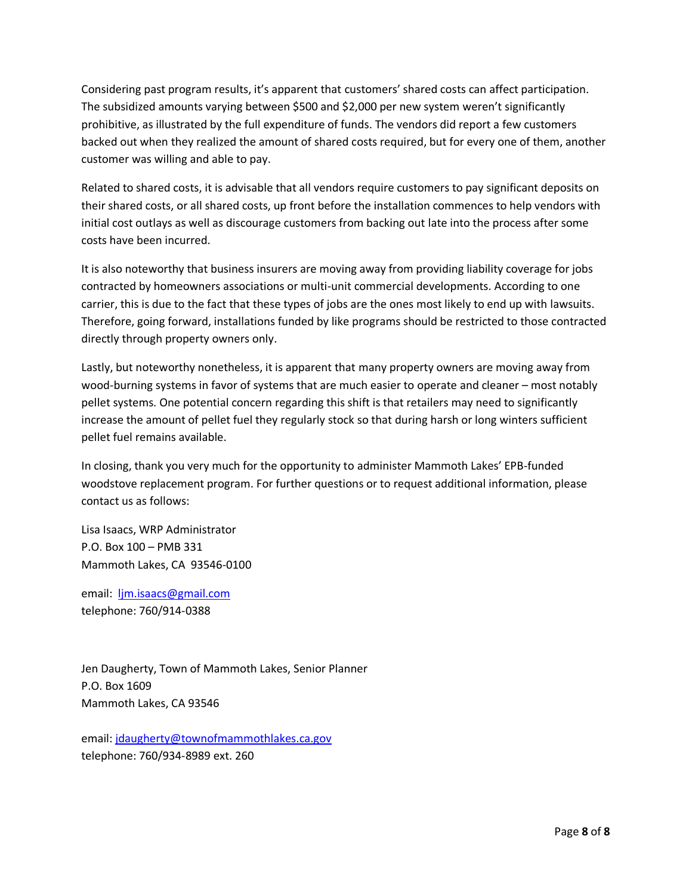Considering past program results, it's apparent that customers' shared costs can affect participation. The subsidized amounts varying between \$500 and \$2,000 per new system weren't significantly prohibitive, as illustrated by the full expenditure of funds. The vendors did report a few customers backed out when they realized the amount of shared costs required, but for every one of them, another customer was willing and able to pay.

Related to shared costs, it is advisable that all vendors require customers to pay significant deposits on their shared costs, or all shared costs, up front before the installation commences to help vendors with initial cost outlays as well as discourage customers from backing out late into the process after some costs have been incurred.

It is also noteworthy that business insurers are moving away from providing liability coverage for jobs contracted by homeowners associations or multi-unit commercial developments. According to one carrier, this is due to the fact that these types of jobs are the ones most likely to end up with lawsuits. Therefore, going forward, installations funded by like programs should be restricted to those contracted directly through property owners only.

Lastly, but noteworthy nonetheless, it is apparent that many property owners are moving away from wood-burning systems in favor of systems that are much easier to operate and cleaner – most notably pellet systems. One potential concern regarding this shift is that retailers may need to significantly increase the amount of pellet fuel they regularly stock so that during harsh or long winters sufficient pellet fuel remains available.

In closing, thank you very much for the opportunity to administer Mammoth Lakes' EPB-funded woodstove replacement program. For further questions or to request additional information, please contact us as follows:

Lisa Isaacs, WRP Administrator P.O. Box 100 – PMB 331 Mammoth Lakes, CA 93546-0100

email: [ljm.isaacs@gmail.com](mailto:ljm.isaacs@gmail.com) telephone: 760/914-0388

Jen Daugherty, Town of Mammoth Lakes, Senior Planner P.O. Box 1609 Mammoth Lakes, CA 93546

email: [jdaugherty@townofmammothlakes.ca.gov](mailto:jdaugherty@townofmammothlakes.ca.gov) telephone: 760/934-8989 ext. 260